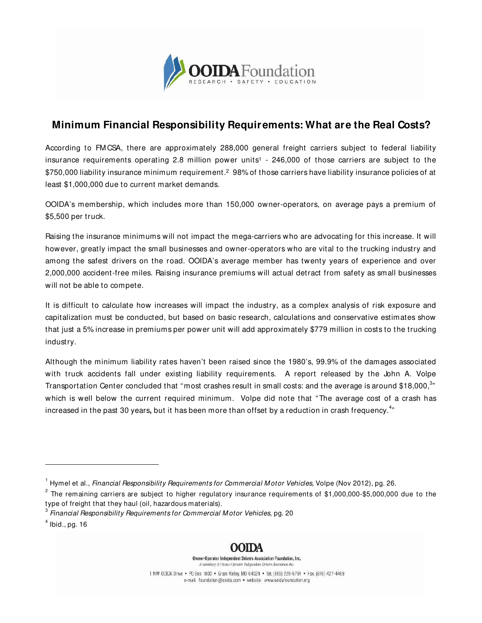

## **Minimum Financial Responsibility Requirements: What are the Real Costs?**

According to FM CSA, there are approximately 288,000 general freight carriers subject to federal liability insurance requirements operating 2.8 million power units<sup>1</sup> - 246,000 of those carriers are subject to the \$750,000 liability insurance minimum requirement.<sup>2</sup> 98% of those carriers have liability insurance policies of at least \$1,000,000 due to current market demands.

OOIDA's membership, which includes more than 150,000 owner-operators, on average pays a premium of \$5,500 per truck.

Raising the insurance minimums will not impact the mega-carriers who are advocating for this increase. It will however, greatly impact the small businesses and owner-operators who are vital to the trucking industry and among the safest drivers on the road. OOIDA's average member has twenty years of experience and over 2,000,000 accident-free miles. Raising insurance premiums will actual detract from safety as small businesses will not be able to compete.

It is difficult to calculate how increases will impact the industry, as a complex analysis of risk exposure and capitalization must be conducted, but based on basic research, calculations and conservative estimates show that just a 5% increase in premiums per power unit will add approximately \$779 million in costs to the trucking industry.

Although the minimum liability rates haven't been raised since the 1980's, 99.9% of the damages associated with truck accidents fall under existing liability requirements. A report released by the John A. Volpe Transportation Center concluded that "most crashes result in small costs: and the average is around \$18,000, $^{\rm 3n}$ which is well below the current required minimum. Volpe did note that " The average cost of a crash has increased in the past 30 years, but it has been more than offset by a reduction in crash frequency.<sup>4</sup>"

j



Owner-Operator Independent Drivers Association Foundation, Inc. A subsidiary of Owner-Operator Independent Drivers Association In-

1 NW 00IDA Drive . PO Box 1000 . Grain Valley, MO 64029 . Tel: (816) 229-5791 . Fax: (816) 427-4468 e-mail: foundation@ooida.com • website: www.ooidafoundation.org

 $^{\rm 1}$  Hymel et al., *Financial Responsibility Requirements for Commercial Motor Vehicles,* Volpe (Nov 2012), pg. 26.

 $^{\circ}$  The remaining carriers are subject to higher regulatory insurance requirements of \$1,000,000-\$5,000,000 due to the type of freight that they haul (oil, hazardous materials).

 $^3$  Financial Responsibility Requirements for Commercial Motor Vehicles, pg. 20  $\,$ 

 $<sup>4</sup>$  Ibid., pg. 16</sup>